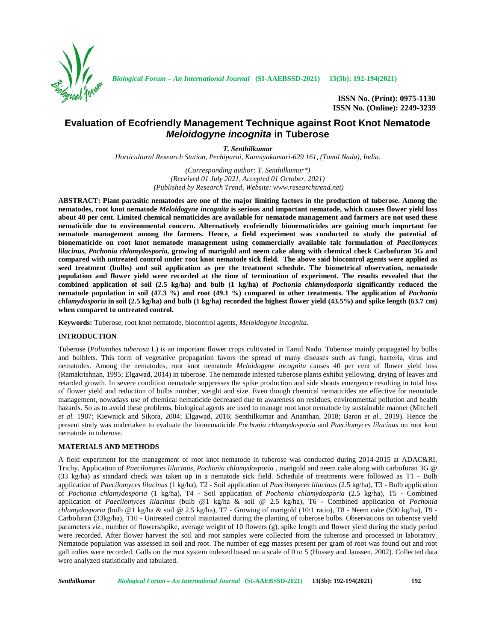

*Biological Forum – An International Journal* **(SI-AAEBSSD-2021) 13(3b): 192-194(2021)**

**ISSN No. (Print): 0975-1130 ISSN No. (Online): 2249-3239**

# **Evaluation of Ecofriendly Management Technique against Root Knot Nematode** *Meloidogyne incognita* **in Tuberose**

*T. Senthilkumar*

*Horticultural Research Station, Pechiparai, Kanniyakumari-629 161, (Tamil Nadu), India.*

*(Corresponding author: T. Senthilkumar\*) (Received 01 July 2021, Accepted 01 October, 2021) (Published by Research Trend, Website: <www.researchtrend.net>)*

**ABSTRACT: Plant parasitic nematodes are one of the major limiting factors in the production of tuberose. Among the nematodes, root knot nematode** *Meloidogyne incognita* **is serious and important nematode, which causes flower yield loss about 40 per cent. Limited chemical nematicides are available for nematode management and farmers are not used these nematicide due to environmental concern. Alternatively ecofriendly bionematicides are gaining much important for nematode management among the farmers. Hence, a field experiment was conducted to study the potential of bionematicide on root knot nematode management using commercially available talc formulation of** *Paecilomyces lilacinus, Pochonia chlamydosporia,* **growing of marigold and neem cake along with chemical check Carbofuran 3G and compared with untreated control under root knot nematode sick field. The above said biocontrol agents were applied as seed treatment (bulbs) and soil application as per the treatment schedule. The biometrical observation, nematode population and flower yield were recorded at the time of termination of experiment. The results revealed that the combined application of soil (2.5 kg/ha) and bulb (1 kg/ha) of** *Pochonia chlamydosporia* **significantly reduced the nematode population in soil (47.3 %) and root (49.1 %) compared to other treatments. The application of** *Pochonia chlamydosporia* **in soil (2.5 kg/ha) and bulb (1 kg/ha) recorded the highest flower yield (43.5%) and spike length (63.7 cm) when compared to untreated control.**

**Keywords:** Tuberose, root knot nematode, biocontrol agents, *Meloidogyne incognita.*

## **INTRODUCTION**

Tuberose (*Polianthes tuberosa* L)is an important flower crops cultivated in Tamil Nadu. Tuberose mainly propagated by bulbs and bulblets. This form of vegetative propagation favors the spread of many diseases such as fungi, bacteria, virus and nematodes. Among the nematodes, root knot nematode *Meloidogyne incognita* causes 40 per cent of flower yield loss (Ramakrishnan, 1995; Elgawad, 2014) in tuberose. The nematode infested tuberose plants exhibit yellowing, drying of leaves and retarded growth. In severe condition nematode suppresses the spike production and side shoots emergence resulting in total loss of flower yield and reduction of bulbs number, weight and size. Even though chemical nematicides are effective for nematode management, nowadays use of chemical nematicide decreased due to awareness on residues, environmental pollution and health hazards. So as to avoid these problems, biological agents are used to manage root knot nematode by sustainable manner (Mitchell *et al.* 1987; Kiewnick and Sikora, 2004; Elgawad, 2016; Senthilkumar and Ananthan, 2018; Baron *et al.,* 2019). Hence the present study was undertaken to evaluate the bionematicide *Pochonia chlamydosporia* and *Paecilomyces lilacinus* on root knot nematode in tuberose.

### **MATERIALS AND METHODS**

A field experiment for the management of root knot nematode in tuberose was conducted during 2014-2015 at ADAC&RI, Trichy. Application of *Paecilomyces lilacinus, Pochonia chlamydosporia* , marigold and neem cake along with carbofuran 3G @ (33 kg/ha) as standard check was taken up in a nematode sick field. Schedule of treatments were followed as T1 - Bulb application of *Paecilomyces lilacinus* (1 kg/ha), T2 - Soil application of *Paecilomyces lilacinus* (2.5 kg/ha), T3 - Bulb application of *Pochonia chlamydosporia* (1 kg/ha), T4 - Soil application of *Pochonia chlamydosporia* (2.5 kg/ha), T5 - Combined application of *Paecilomyces lilacinus* (bulb @1 kg/ha & soil @ 2.5 kg/ha), T6 - Combined application of *Pochonia chlamydosporia* (bulb @1 kg/ha & soil @ 2.5 kg/ha), T7 - Growing of marigold (10:1 ratio), T8 - Neem cake (500 kg/ha), T9 - Carbofuran (33kg/ha), T10 - Untreated control maintained during the planting of tuberose bulbs. Observations on tuberose yield parameters *viz.,* number of flowers/spike, average weight of 10 flowers (g), spike length and flower yield during the study period were recorded. After flower harvest the soil and root samples were collected from the tuberose and processed in laboratory. Nematode population was assessed in soil and root. The number of egg masses present per gram of root was found out and root gall indies were recorded. Galls on the root system indexed based on a scale of 0 to 5 (Hussey and Janssen, 2002). Collected data were analyzed statistically and tabulated.

*Senthilkumar Biological Forum – An International Journal* **(SI-AAEBSSD-2021) 13(3b): 192-194(2021) 192**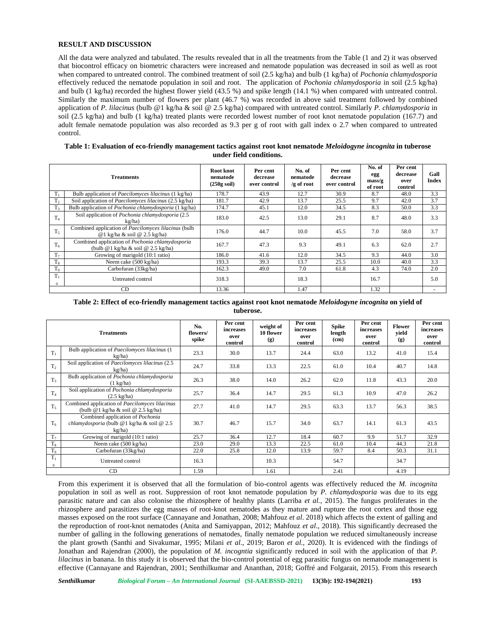#### **RESULT AND DISCUSSION**

All the data were analyzed and tabulated. The results revealed that in all the treatments from the Table (1 and 2) it was observed that biocontrol efficacy on biometric characters were increased and nematode population was decreased in soil as well as root when compared to untreated control. The combined treatment of soil (2.5 kg/ha) and bulb (1 kg/ha) of *Pochonia chlamydosporia* effectively reduced the nematode population in soil and root. The application of *Pochonia chlamydosporia* in soil (2.5 kg/ha) and bulb (1 kg/ha) recorded the highest flower yield (43.5 %) and spike length (14.1 %) when compared with untreated control. Similarly the maximum number of flowers per plant (46.7 %) was recorded in above said treatment followed by combined application of *P. lilacinus* (bulb @1 kg/ha & soil @ 2.5 kg/ha) compared with untreated control. Similarly *P. chlamydosporia* in soil (2.5 kg/ha) and bulb (1 kg/ha) treated plants were recorded lowest number of root knot nematode population (167.7) and adult female nematode population was also recorded as 9.3 per g of root with gall index o 2.7 when compared to untreated control.

| Table 1: Evaluation of eco-friendly management tactics against root knot nematode Meloidogyne incognita in tuberose |  |  |  |  |  |  |  |
|---------------------------------------------------------------------------------------------------------------------|--|--|--|--|--|--|--|
| under field conditions.                                                                                             |  |  |  |  |  |  |  |

|                | <b>Treatments</b>                                                                            | Root knot<br>nematode<br>$(250g \text{ soil})$ | Per cent<br>decrease<br>over control | No. of<br>nematode<br>$/g$ of root | Per cent<br>decrease<br>over control | No. of<br>egg<br>$\frac{mass}{g}$<br>of root | Per cent<br>decrease<br>over<br>control | Gall<br>Index |
|----------------|----------------------------------------------------------------------------------------------|------------------------------------------------|--------------------------------------|------------------------------------|--------------------------------------|----------------------------------------------|-----------------------------------------|---------------|
| $\mathbf{1}$   | Bulb application of <i>Paecilomyces lilacinus</i> (1 kg/ha)                                  | 178.7                                          | 43.9                                 | 12.7                               | 30.9                                 | 8.7                                          | 48.0                                    | 3.3           |
| T <sub>2</sub> | Soil application of <i>Paecilomyces lilacinus</i> (2.5 kg/ha)                                | 181.7                                          | 42.9                                 | 13.7                               | 25.5                                 | 9.7                                          | 42.0                                    | 3.7           |
| T <sub>3</sub> | Bulb application of <i>Pochonia chlamydosporia</i> (1 kg/ha)                                 | 174.7                                          | 45.1                                 | 12.0                               | 34.5                                 | 8.3                                          | 50.0                                    | 3.3           |
| T <sub>4</sub> | Soil application of Pochonia chlamydosporia (2.5<br>kg/ha)                                   | 183.0                                          | 42.5                                 | 13.0                               | 29.1                                 | 8.7                                          | 48.0                                    | 3.3           |
| $T_{5}$        | Combined application of <i>Paecilomyces lilacinus</i> (bulb)<br>@1 kg/ha & soil @ 2.5 kg/ha) | 176.0                                          | 44.7                                 | 10.0                               | 45.5                                 | 7.0                                          | 58.0                                    | 3.7           |
| $T_6$          | Combined application of Pochonia chlamydosporia<br>(bulb $@1$ kg/ha & soil $@2.5$ kg/ha)     | 167.7                                          | 47.3                                 | 9.3                                | 49.1                                 | 6.3                                          | 62.0                                    | 2.7           |
| T <sub>7</sub> | Growing of marigold (10:1 ratio)                                                             | 186.0                                          | 41.6                                 | 12.0                               | 34.5                                 | 9.3                                          | 44.0                                    | 3.0           |
| $T_8$          | Neem cake (500 kg/ha)                                                                        | 193.3                                          | 39.3                                 | 13.7                               | 25.5                                 | 10.0                                         | 40.0                                    | 3.3           |
| T <sub>9</sub> | Carbofuran (33kg/ha)                                                                         | 162.3                                          | 49.0                                 | 7.0                                | 61.8                                 | 4.3                                          | 74.0                                    | 2.0           |
| $T_1$          | Untreated control                                                                            | 318.3                                          |                                      | 18.3                               |                                      | 16.7                                         |                                         | 5.0           |
| CD             |                                                                                              | 13.36                                          |                                      | 1.47                               |                                      | 1.32                                         |                                         | $\sim$        |

#### **Table 2: Effect of eco-friendly management tactics against root knot nematode** *Meloidogyne incognita* **on yield of tuberose.**

| <b>Treatments</b>     |                                                                                                 | No.<br>flowers/<br>spike | Per cent<br>increases<br>over<br>control | weight of<br>10 flower<br>(g) | Per cent<br>increases<br>over<br>control | <b>Spike</b><br>length<br>(c <sub>m</sub> ) | Per cent<br>increases<br>over<br>control | <b>Flower</b><br>vield<br>(g) | Per cent<br>increases<br>over<br>control |
|-----------------------|-------------------------------------------------------------------------------------------------|--------------------------|------------------------------------------|-------------------------------|------------------------------------------|---------------------------------------------|------------------------------------------|-------------------------------|------------------------------------------|
| $T_1$                 | Bulb application of <i>Paecilomyces lilacinus</i> (1)<br>kg/ha)                                 | 23.3                     | 30.0                                     | 13.7                          | 24.4                                     | 63.0                                        | 13.2                                     | 41.0                          | 15.4                                     |
| T <sub>2</sub>        | Soil application of <i>Paecilomyces lilacinus</i> (2.5)<br>kg/ha)                               | 24.7                     | 33.8                                     | 13.3                          | 22.5                                     | 61.0                                        | 10.4                                     | 40.7                          | 14.8                                     |
| $T_3$                 | Bulb application of Pochonia chlamydosporia<br>$(1 \text{ kg/ha})$                              | 26.3                     | 38.0                                     | 14.0                          | 26.2                                     | 62.0                                        | 11.8                                     | 43.3                          | 20.0                                     |
| $T_4$                 | Soil application of Pochonia chlamydosporia<br>$(2.5 \text{ kg/ha})$                            | 25.7                     | 36.4                                     | 14.7                          | 29.5                                     | 61.3                                        | 10.9                                     | 47.0                          | 26.2                                     |
| $T_{5}$               | Combined application of <i>Paecilomyces lilacinus</i><br>(bulb $@1$ kg/ha & soil $@2.5$ kg/ha)  | 27.7                     | 41.0                                     | 14.7                          | 29.5                                     | 63.3                                        | 13.7                                     | 56.3                          | 38.5                                     |
| T <sub>6</sub>        | Combined application of <i>Pochonia</i><br>chlamydosporia (bulb @1 kg/ha & soil @ 2.5<br>kg/ha) | 30.7                     | 46.7                                     | 15.7                          | 34.0                                     | 63.7                                        | 14.1                                     | 61.3                          | 43.5                                     |
| $T_7$                 | Growing of marigold (10:1 ratio)                                                                | 25.7                     | 36.4                                     | 12.7                          | 18.4                                     | 60.7                                        | 9.9                                      | 51.7                          | 32.9                                     |
| $T_8$                 | Neem cake (500 kg/ha)                                                                           | 23.0                     | 29.0                                     | 13.3                          | 22.5                                     | 61.0                                        | 10.4                                     | 44.3                          | 21.8                                     |
| T <sub>9</sub>        | Carbofuran (33kg/ha)                                                                            | 22.0                     | 25.8                                     | 12.0                          | 13.9                                     | 59.7                                        | 8.4                                      | 50.3                          | 31.1                                     |
| $T_1$<br>$\mathbf{0}$ | Untreated control                                                                               | 16.3                     |                                          | 10.3                          |                                          | 54.7                                        |                                          | 34.7                          |                                          |
| CD                    |                                                                                                 | 1.59                     |                                          | 1.61                          |                                          | 2.41                                        |                                          | 4.19                          |                                          |

From this experiment it is observed that all the formulation of bio-control agents was effectively reduced the *M. incognita* population in soil as well as root. Suppression of root knot nematode population by *P. chlamydosporia* was due to its egg parasitic nature and can also colonise the rhizosphere of healthy plants (Larriba *et al.,* 2015). The fungus proliferates in the rhizosphere and parasitizes the egg masses of root-knot nematodes as they mature and rupture the root cortex and those egg masses exposed on the root surface (Cannayane and Jonathan, 2008; Mahfouz *et al*. 2018) which affects the extent of galling and the reproduction of root-knot nematodes (Anita and Samiyappan, 2012; Mahfouz *et al*., 2018). This significantly decreased the number of galling in the following generations of nematodes, finally nematode population we reduced simultaneously increase the plant growth (Santhi and Sivakumar, 1995; Milani *et al*., 2019; Baron *et al.,* 2020). It is evidenced with the findings of Jonathan and Rajendran (2000), the population of *M. incogntia* significantly reduced in soil with the application of that *P. lilacinus* in banana. In this study it is observed that the bio-control potential of egg parasitic fungus on nematode management is effective (Cannayane and Rajendran, 2001; Senthilkumar and Ananthan, 2018; Goffré and Folgarait, 2015). From this research